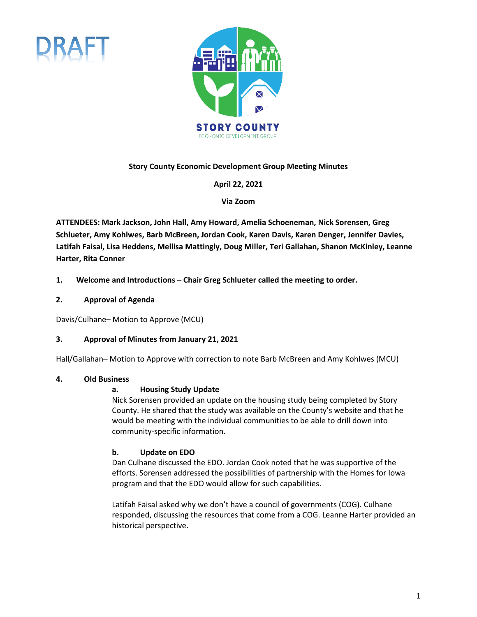



### **Story County Economic Development Group Meeting Minutes**

**April 22, 2021** 

**Via Zoom**

**ATTENDEES: Mark Jackson, John Hall, Amy Howard, Amelia Schoeneman, Nick Sorensen, Greg Schlueter, Amy Kohlwes, Barb McBreen, Jordan Cook, Karen Davis, Karen Denger, Jennifer Davies, Latifah Faisal, Lisa Heddens, Mellisa Mattingly, Doug Miller, Teri Gallahan, Shanon McKinley, Leanne Harter, Rita Conner**

- **1. Welcome and Introductions Chair Greg Schlueter called the meeting to order.**
- **2. Approval of Agenda**

Davis/Culhane– Motion to Approve (MCU)

### **3. Approval of Minutes from January 21, 2021**

Hall/Gallahan– Motion to Approve with correction to note Barb McBreen and Amy Kohlwes (MCU)

### **4. Old Business**

### **a. Housing Study Update**

Nick Sorensen provided an update on the housing study being completed by Story County. He shared that the study was available on the County's website and that he would be meeting with the individual communities to be able to drill down into community-specific information.

# **b. Update on EDO**

Dan Culhane discussed the EDO. Jordan Cook noted that he was supportive of the efforts. Sorensen addressed the possibilities of partnership with the Homes for Iowa program and that the EDO would allow for such capabilities.

Latifah Faisal asked why we don't have a council of governments (COG). Culhane responded, discussing the resources that come from a COG. Leanne Harter provided an historical perspective.